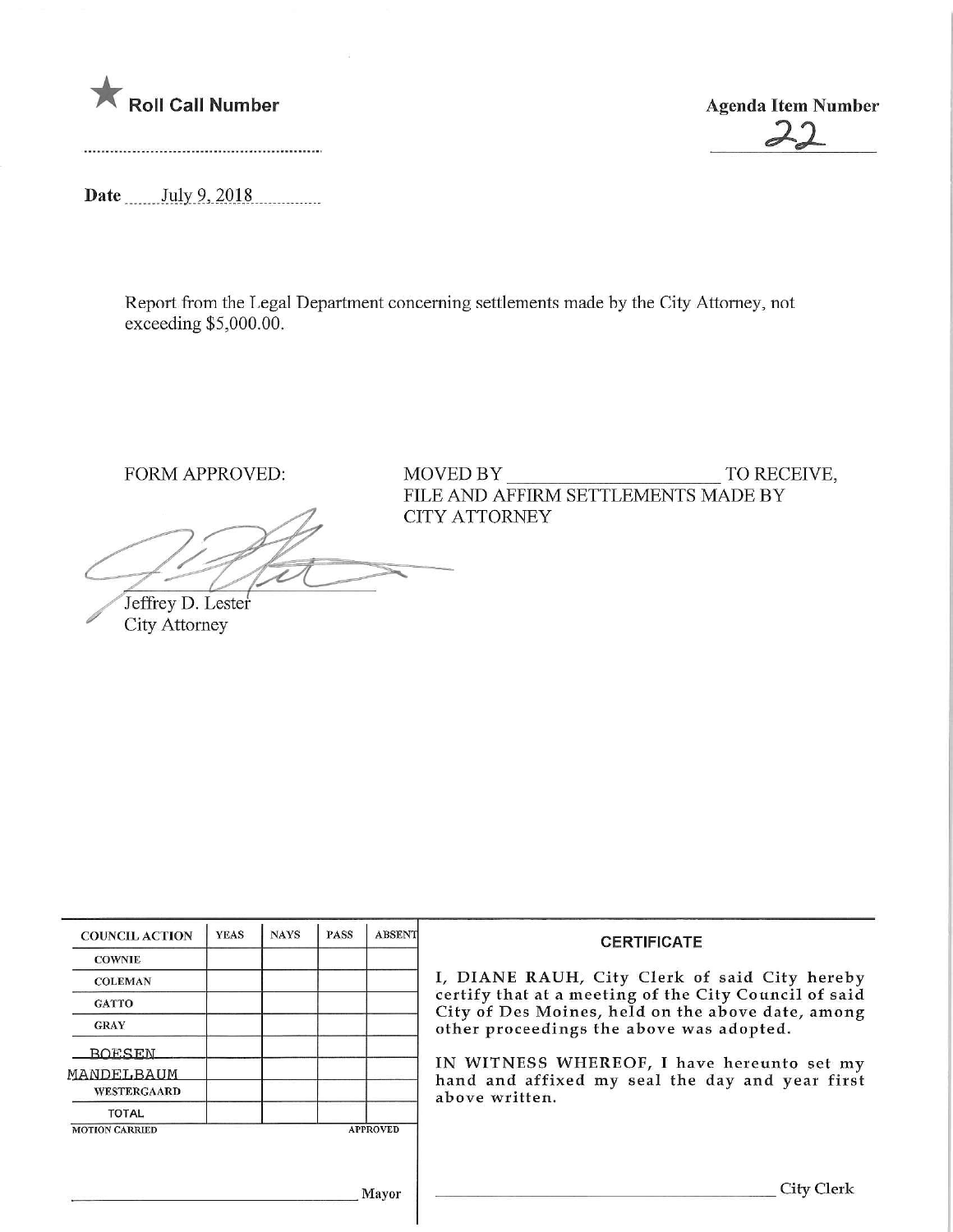



Date July 9, 2018

Report from the Legal Department concerning settlements made by the City Attorney, not exceeding \$5,000.00.

 $\chi$  $\cancel{\mathcal{I}}$ Jeffrey D. Lester

City Attorney

FORM APPROVED: MOVED BY TO RECEIVE, FILE AND AFFIRM SETTLEMENTS MADE BY CITY ATTORNEY

| <b>COUNCIL ACTION</b>                    | <b>YEAS</b> | <b>NAYS</b> | <b>PASS</b> | <b>ABSENT</b> | <b>CERTIFICATE</b><br>I, DIANE RAUH, City Clerk of said City hereby<br>certify that at a meeting of the City Council of said<br>City of Des Moines, held on the above date, among<br>other proceedings the above was adopted. |  |  |
|------------------------------------------|-------------|-------------|-------------|---------------|-------------------------------------------------------------------------------------------------------------------------------------------------------------------------------------------------------------------------------|--|--|
| <b>COWNIE</b>                            |             |             |             |               |                                                                                                                                                                                                                               |  |  |
| <b>COLEMAN</b>                           |             |             |             |               |                                                                                                                                                                                                                               |  |  |
| <b>GATTO</b>                             |             |             |             |               |                                                                                                                                                                                                                               |  |  |
| <b>GRAY</b>                              |             |             |             |               |                                                                                                                                                                                                                               |  |  |
| <b>BOESEN</b>                            |             |             |             |               |                                                                                                                                                                                                                               |  |  |
| MANDELBAUM                               |             |             |             |               | IN WITNESS WHEREOF, I have hereunto set my<br>hand and affixed my seal the day and year first                                                                                                                                 |  |  |
| WESTERGAARD                              |             |             |             |               | above written.                                                                                                                                                                                                                |  |  |
| <b>TOTAL</b>                             |             |             |             |               |                                                                                                                                                                                                                               |  |  |
| <b>MOTION CARRIED</b><br><b>APPROVED</b> |             |             |             |               |                                                                                                                                                                                                                               |  |  |
|                                          |             |             |             |               |                                                                                                                                                                                                                               |  |  |
|                                          |             |             |             |               |                                                                                                                                                                                                                               |  |  |
| Mayor                                    |             |             |             |               | City C                                                                                                                                                                                                                        |  |  |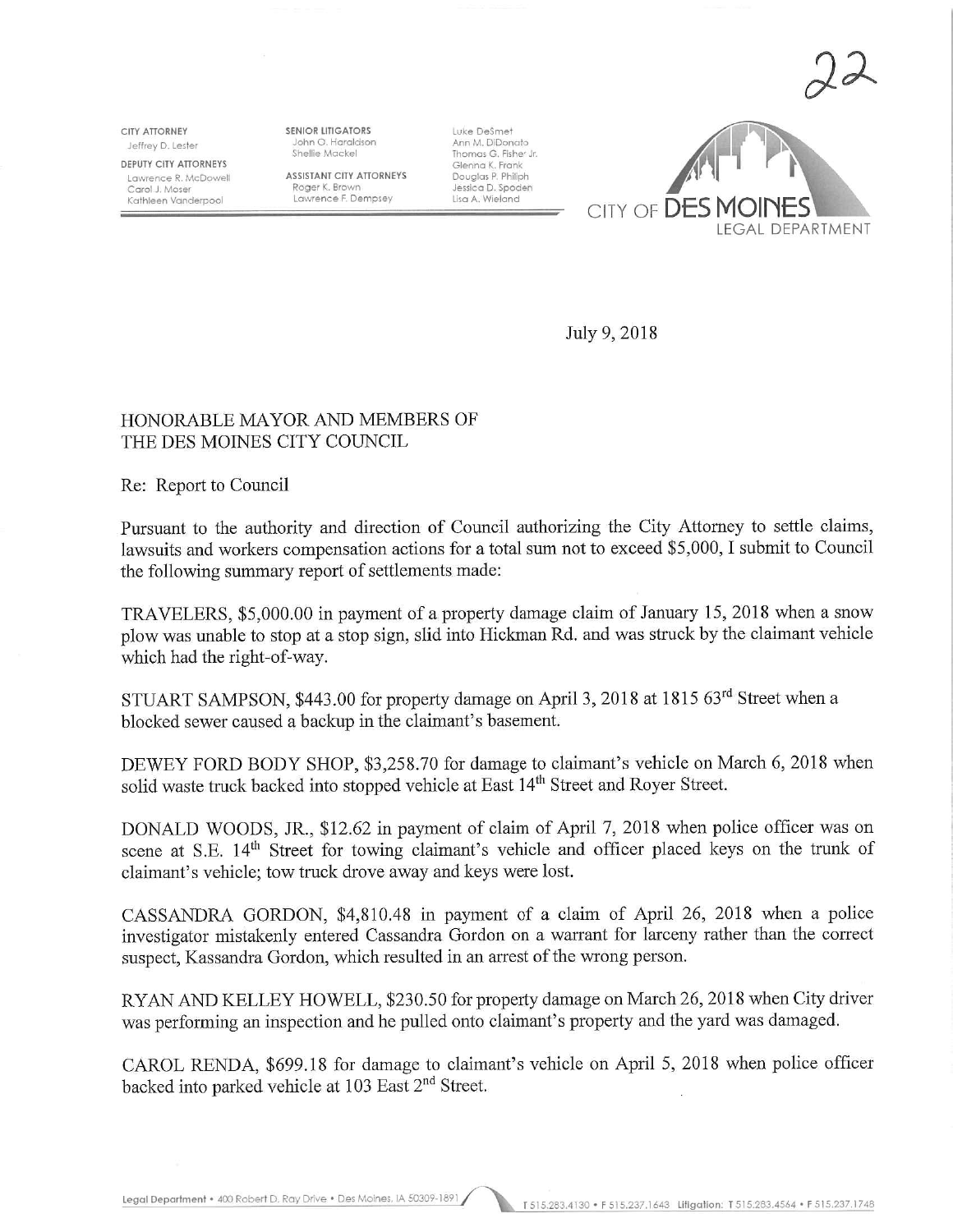$\gamma$ <sub>2</sub>

CITY ATTORNEY Jeffrey D. Lester DEPUTY CITY ATTORNEYS Lawrence R. McDowell Carol J. Moser Kathleen Vanderpool

SENIOR LITIGATORS John O. Haraldson Shellie Mackel

ASSISTANT CITY ATTORNEYS Roger K. Brown Lawrence F. Dempsey

Luke DeSmet Ann M. DiDonato Thomas G. Fisher Jr. Glenna K. Frank Douglas P. Philiph Jessica D. Spoden<br>Lisa A. Wieland



July 9, 2018

## HONORABLE MAYOR AND MEMBERS OF THE DES MOINES CITY COUNCIL

Re: Report to Council

Pursuant to the authority and direction of Council authorizing the City Attorney to settle claims, lawsuits and workers compensation actions for a total sum not to exceed \$5,000, I submit to Council the following summary report of settlements made:

TRAVELERS, \$5,000.00 in payment of a property damage claim of January 15, 2018 when a snow plow was unable to stop at a stop sign, slid into Hickman Rd. and was struck by the claimant vehicle which had the right-of-way.

STUART SAMPSON, \$443.00 for property damage on April 3, 2018 at 1815 63rd Street when a blocked sewer caused a backup in the claimant's basement.

DEWEY FORD BODY SHOP, \$3,258.70 for damage to claimant's vehicle on March 6, 2018 when solid waste truck backed into stopped vehicle at East 14<sup>th</sup> Street and Royer Street.

DONALD WOODS, JR., \$12.62 in payment of claim of April 7, 2018 when police officer was on scene at S.E. 14<sup>th</sup> Street for towing claimant's vehicle and officer placed keys on the trunk of claimant's vehicle; tow truck drove away and keys were lost.

CASSANDRA GORDON, \$4,810.48 in payment of a claim of April 26, 2018 when a police investigator mistakenly entered Cassandra Gordon on a warrant for larceny rather than the correct suspect, Kassandra Gordon, which resulted in an arrest of the wrong person.

RYAN AND KELLEY HOWELL, \$230.50 for property damage on March 26, 2018 when City driver was performing an inspection and he pulled onto claimant's property and the yard was damaged.

CAROL RENDA, \$699.18 for damage to claimant's vehicle on April 5, 2018 when police officer backed into parked vehicle at 103 East 2<sup>nd</sup> Street.